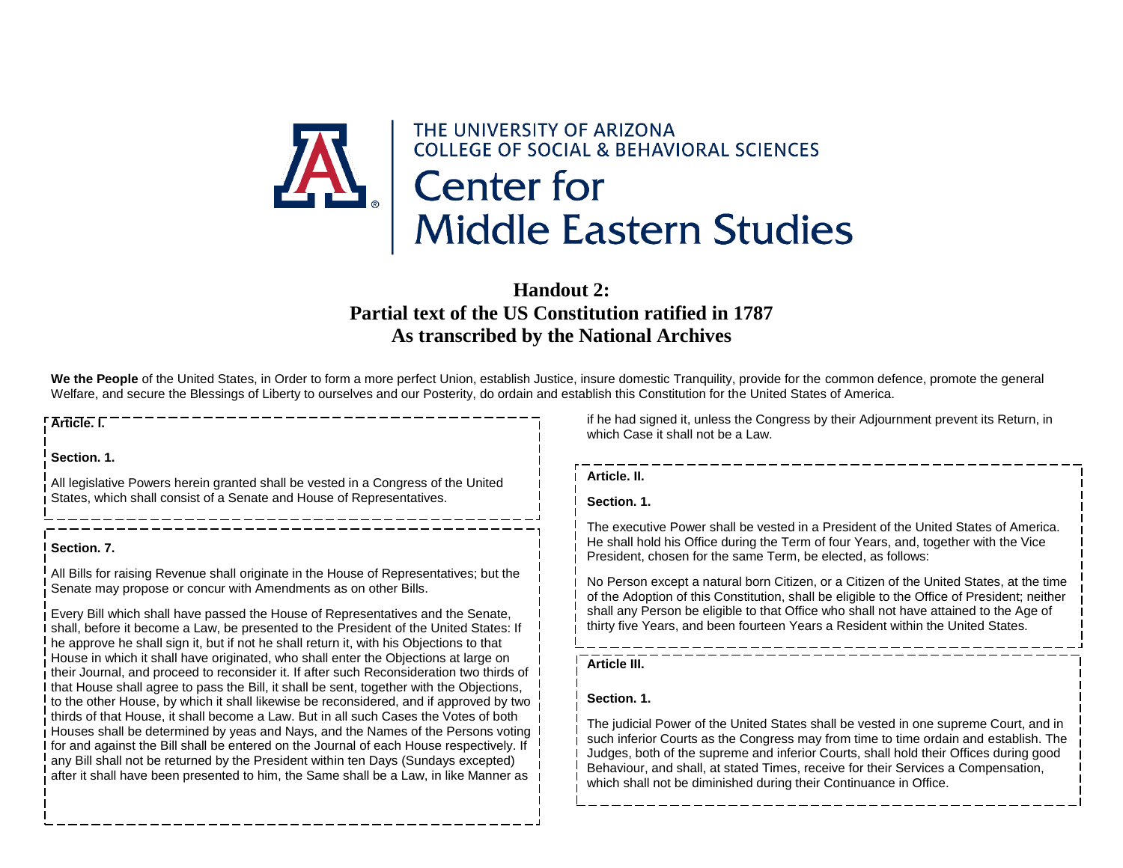

# **Handout 2: Partial text of the US Constitution ratified in 1787 As transcribed by the National Archives**

We the People of the United States, in Order to form a more perfect Union, establish Justice, insure domestic Tranquility, provide for the common defence, promote the general Welfare, and secure the Blessings of Liberty to ourselves and our Posterity, do ordain and establish this Constitution for the United States of America.

# **Article. I.**

**Section. 1.**

All legislative Powers herein granted shall be vested in a Congress of the United States, which shall consist of a Senate and House of Representatives.

## **Section. 7.**

All Bills for raising Revenue shall originate in the House of Representatives; but the Senate may propose or concur with Amendments as on other Bills.

Every Bill which shall have passed the House of Representatives and the Senate, shall, before it become a Law, be presented to the President of the United States: If he approve he shall sign it, but if not he shall return it, with his Objections to that House in which it shall have originated, who shall enter the Objections at large on their Journal, and proceed to reconsider it. If after such Reconsideration two thirds of that House shall agree to pass the Bill, it shall be sent, together with the Objections, to the other House, by which it shall likewise be reconsidered, and if approved by two thirds of that House, it shall become a Law. But in all such Cases the Votes of both Houses shall be determined by yeas and Nays, and the Names of the Persons voting for and against the Bill shall be entered on the Journal of each House respectively. If any Bill shall not be returned by the President within ten Days (Sundays excepted) after it shall have been presented to him, the Same shall be a Law, in like Manner as

if he had signed it, unless the Congress by their Adjournment prevent its Return, in which Case it shall not be a Law.

# **Article. II.**

## **Section. 1.**

The executive Power shall be vested in a President of the United States of America. He shall hold his Office during the Term of four Years, and, together with the Vice President, chosen for the same Term, be elected, as follows:

No Person except a natural born Citizen, or a Citizen of the United States, at the time of the Adoption of this Constitution, shall be eligible to the Office of President; neither shall any Person be eligible to that Office who shall not have attained to the Age of thirty five Years, and been fourteen Years a Resident within the United States.

# **Article III.**

# **Section. 1.**

The judicial Power of the United States shall be vested in one supreme Court, and in such inferior Courts as the Congress may from time to time ordain and establish. The Judges, both of the supreme and inferior Courts, shall hold their Offices during good Behaviour, and shall, at stated Times, receive for their Services a Compensation, which shall not be diminished during their Continuance in Office.